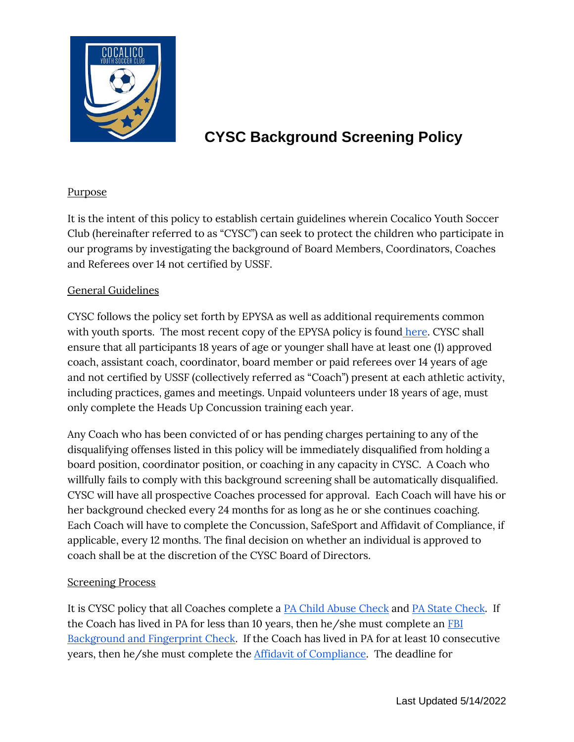

# **CYSC Background Screening Policy**

### **Purpose**

It is the intent of this policy to establish certain guidelines wherein Cocalico Youth Soccer Club (hereinafter referred to as "CYSC") can seek to protect the children who participate in our programs by investigating the background of Board Members, Coordinators, Coaches and Referees over 14 not certified by USSF.

#### General Guidelines

CYSC follows the policy set forth by EPYSA as well as additional requirements common with youth sports. The most recent copy of the EPYSA policy is found [here.](http://www.idevmail.net/link.aspx?l=1&d=89&mid=493721&m=10103) CYSC shall ensure that all participants 18 years of age or younger shall have at least one (1) approved coach, assistant coach, coordinator, board member or paid referees over 14 years of age and not certified by USSF (collectively referred as "Coach") present at each athletic activity, including practices, games and meetings. Unpaid volunteers under 18 years of age, must only complete the Heads Up Concussion training each year.

Any Coach who has been convicted of or has pending charges pertaining to any of the disqualifying offenses listed in this policy will be immediately disqualified from holding a board position, coordinator position, or coaching in any capacity in CYSC. A Coach who willfully fails to comply with this background screening shall be automatically disqualified. CYSC will have all prospective Coaches processed for approval. Each Coach will have his or her background checked every 24 months for as long as he or she continues coaching. Each Coach will have to complete the Concussion, SafeSport and Affidavit of Compliance, if applicable, every 12 months. The final decision on whether an individual is approved to coach shall be at the discretion of the CYSC Board of Directors.

#### Screening Process

It is CYSC policy that all Coaches complete a [PA Child Abuse Check](https://www.compass.state.pa.us/cwis/public/home) an[d](https://epatch.state.pa.us/Home.jsp) [PA State Check.](https://epatch.state.pa.us/Home.jsp) If the Coach has lived in PA for less than 10 years, then he/she must complete a[n](https://usys-assets.ae-admin.com/assets/947/15/IdentoGo%20Service%20Code%203-12-2018.pdf) [FBI](https://usys-assets.ae-admin.com/assets/947/15/IdentoGo%20Service%20Code%203-12-2018.pdf)  [Background and Fingerprint Check.](https://usys-assets.ae-admin.com/assets/947/15/IdentoGo%20Service%20Code%203-12-2018.pdf) If the Coach has lived in PA for at least 10 consecutive years, then he/she must complete th[e](https://usys-assets.ae-admin.com/assets/947/15/Child%20safety%20-%20Affidavit%20of%20Compliance.pdf) [Affidavit of Compliance.](https://usys-assets.ae-admin.com/assets/947/15/Child%20safety%20-%20Affidavit%20of%20Compliance.pdf) The deadline for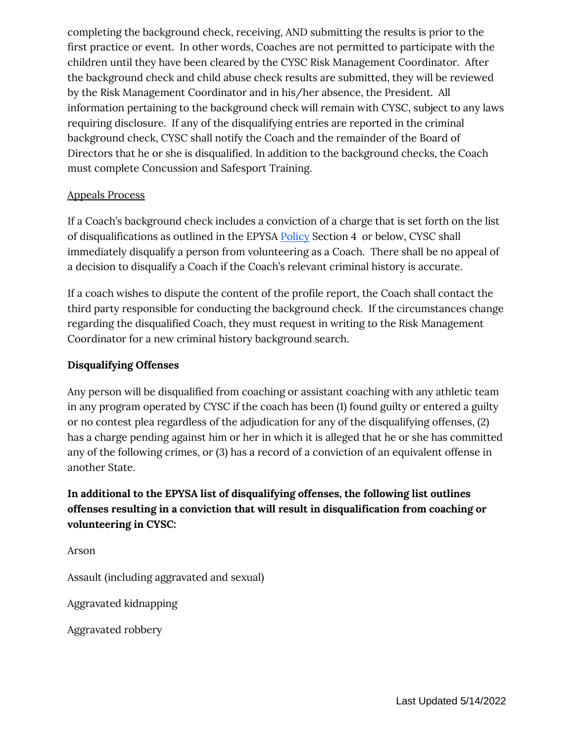completing the background check, receiving, AND submitting the results is prior to the first practice or event. In other words, Coaches are not permitted to participate with the children until they have been cleared by the CYSC Risk Management Coordinator. After the background check and child abuse check results are submitted, they will be reviewed by the Risk Management Coordinator and in his/her absence, the President. All information pertaining to the background check will remain with CYSC, subject to any laws requiring disclosure. If any of the disqualifying entries are reported in the criminal background check, CYSC shall notify the Coach and the remainder of the Board of Directors that he or she is disqualified. In addition to the background checks, the Coach must complete Concussion and Safesport Training.

#### Appeals Process

If a Coach's background check includes a conviction of a charge that is set forth on the list of disqualifications as outlined in the EPYS[A](http://www.idevmail.net/link.aspx?l=1&d=89&mid=493721&m=10103) [Policy](http://www.idevmail.net/link.aspx?l=1&d=89&mid=493721&m=10103) Section 4 or below, CYSC shall immediately disqualify a person from volunteering as a Coach. There shall be no appeal of a decision to disqualify a Coach if the Coach's relevant criminal history is accurate.

If a coach wishes to dispute the content of the profile report, the Coach shall contact the third party responsible for conducting the background check. If the circumstances change regarding the disqualified Coach, they must request in writing to the Risk Management Coordinator for a new criminal history background search.

## **Disqualifying Offenses**

Any person will be disqualified from coaching or assistant coaching with any athletic team in any program operated by CYSC if the coach has been (1) found guilty or entered a guilty or no contest plea regardless of the adjudication for any of the disqualifying offenses, (2) has a charge pending against him or her in which it is alleged that he or she has committed any of the following crimes, or (3) has a record of a conviction of an equivalent offense in another State.

# **In additional to the EPYSA list of disqualifying offenses, the following list outlines offenses resulting in a conviction that will result in disqualification from coaching or volunteering in CYSC:**

Arson

Assault (including aggravated and sexual)

Aggravated kidnapping

Aggravated robbery